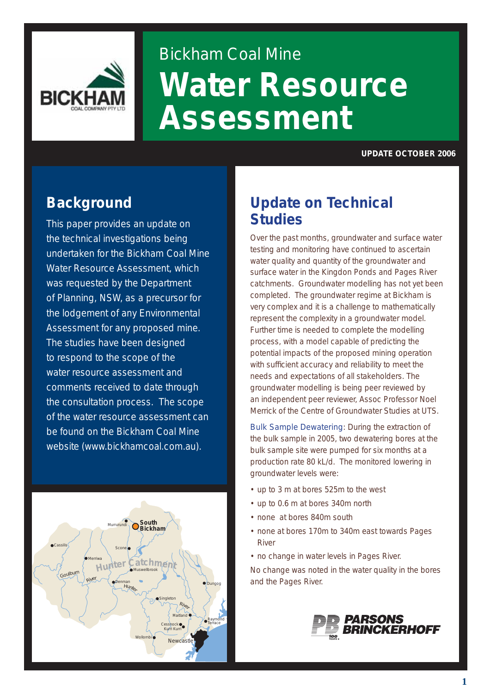

# **Water Resource Assessment** Bickham Coal Mine

#### **UPDATE OCTOBER 2006**

# **Background**

This paper provides an update on the technical investigations being undertaken for the Bickham Coal Mine Water Resource Assessment, which was requested by the Department of Planning, NSW, as a precursor for the lodgement of any Environmental Assessment for any proposed mine. The studies have been designed to respond to the scope of the water resource assessment and comments received to date through the consultation process. The scope of the water resource assessment can be found on the Bickham Coal Mine website *(www.bickhamcoal.com.au)*.



#### **Update on Technical Studies**

Over the past months, groundwater and surface water testing and monitoring have continued to ascertain water quality and quantity of the groundwater and surface water in the Kingdon Ponds and Pages River catchments. Groundwater modelling has not yet been completed. The groundwater regime at Bickham is very complex and it is a challenge to mathematically represent the complexity in a groundwater model. Further time is needed to complete the modelling process, with a model capable of predicting the potential impacts of the proposed mining operation with sufficient accuracy and reliability to meet the needs and expectations of all stakeholders. The groundwater modelling is being peer reviewed by an independent peer reviewer, Assoc Professor Noel Merrick of the Centre of Groundwater Studies at UTS.

Bulk Sample Dewatering: During the extraction of the bulk sample in 2005, two dewatering bores at the bulk sample site were pumped for six months at a production rate 80 kL/d. The monitored lowering in groundwater levels were:

- up to 3 m at bores 525m to the west
- up to 0.6 m at bores 340m north
- none at bores 840m south
- none at bores 170m to 340m east towards Pages River
- no change in water levels in Pages River.

No change was noted in the water quality in the bores and the Pages River.

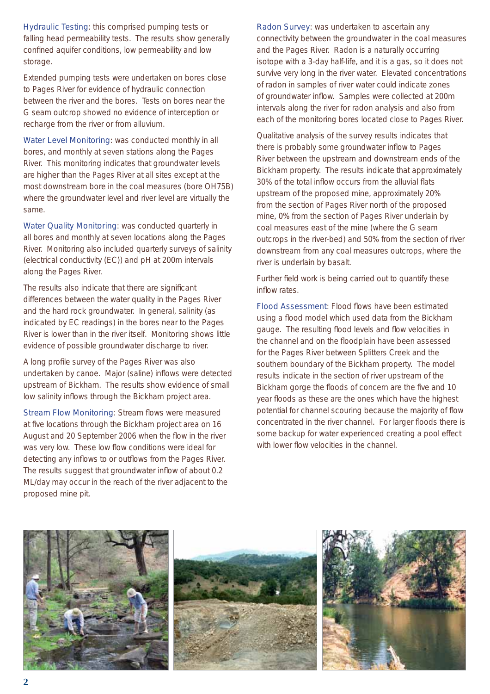Hydraulic Testing: this comprised pumping tests or falling head permeability tests. The results show generally confined aquifer conditions, low permeability and low storage.

Extended pumping tests were undertaken on bores close to Pages River for evidence of hydraulic connection between the river and the bores. Tests on bores near the G seam outcrop showed no evidence of interception or recharge from the river or from alluvium.

Water Level Monitoring: was conducted monthly in all bores, and monthly at seven stations along the Pages River. This monitoring indicates that groundwater levels are higher than the Pages River at all sites except at the most downstream bore in the coal measures (bore OH75B) where the groundwater level and river level are virtually the same.

Water Quality Monitoring: was conducted quarterly in all bores and monthly at seven locations along the Pages River. Monitoring also included quarterly surveys of salinity (electrical conductivity (EC)) and pH at 200m intervals along the Pages River.

The results also indicate that there are significant differences between the water quality in the Pages River and the hard rock groundwater. In general, salinity (as indicated by EC readings) in the bores near to the Pages River is lower than in the river itself. Monitoring shows little evidence of possible groundwater discharge to river.

A long profile survey of the Pages River was also undertaken by canoe. Major (saline) inflows were detected upstream of Bickham. The results show evidence of small low salinity inflows through the Bickham project area.

Stream Flow Monitoring: Stream flows were measured at five locations through the Bickham project area on 16 August and 20 September 2006 when the flow in the river was very low. These low flow conditions were ideal for detecting any inflows to or outflows from the Pages River. The results suggest that groundwater inflow of about 0.2 ML/day may occur in the reach of the river adjacent to the proposed mine pit.

Radon Survey: was undertaken to ascertain any connectivity between the groundwater in the coal measures and the Pages River. Radon is a naturally occurring isotope with a 3-day half-life, and it is a gas, so it does not survive very long in the river water. Elevated concentrations of radon in samples of river water could indicate zones of groundwater inflow. Samples were collected at 200m intervals along the river for radon analysis and also from each of the monitoring bores located close to Pages River.

Qualitative analysis of the survey results indicates that there is probably some groundwater inflow to Pages River between the upstream and downstream ends of the Bickham property. The results indicate that approximately 30% of the total inflow occurs from the alluvial flats upstream of the proposed mine, approximately 20% from the section of Pages River north of the proposed mine, 0% from the section of Pages River underlain by coal measures east of the mine (where the G seam outcrops in the river-bed) and 50% from the section of river downstream from any coal measures outcrops, where the river is underlain by basalt.

Further field work is being carried out to quantify these inflow rates

Flood Assessment: Flood flows have been estimated using a flood model which used data from the Bickham gauge. The resulting flood levels and flow velocities in the channel and on the floodplain have been assessed for the Pages River between Splitters Creek and the southern boundary of the Bickham property. The model results indicate in the section of river upstream of the Bickham gorge the floods of concern are the five and 10 year floods as these are the ones which have the highest potential for channel scouring because the majority of flow concentrated in the river channel. For larger floods there is some backup for water experienced creating a pool effect with lower flow velocities in the channel.

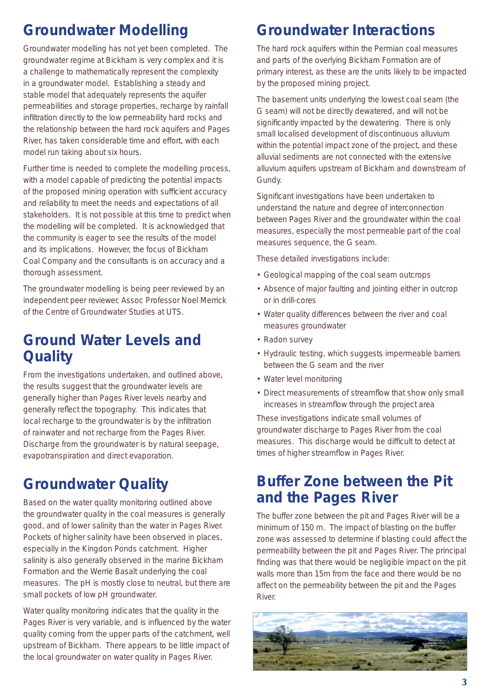# **Groundwater Modelling**

Groundwater modelling has not yet been completed. The groundwater regime at Bickham is very complex and it is a challenge to mathematically represent the complexity in a groundwater model. Establishing a steady and stable model that adequately represents the aquifer permeabilities and storage properties, recharge by rainfall infiltration directly to the low permeability hard rocks and the relationship between the hard rock aquifers and Pages River, has taken considerable time and effort, with each model run taking about six hours.

Further time is needed to complete the modelling process, with a model capable of predicting the potential impacts of the proposed mining operation with sufficient accuracy and reliability to meet the needs and expectations of all stakeholders. It is not possible at this time to predict when the modelling will be completed. It is acknowledged that the community is eager to see the results of the model and its implications. However, the focus of Bickham Coal Company and the consultants is on accuracy and a thorough assessment.

The groundwater modelling is being peer reviewed by an independent peer reviewer, Assoc Professor Noel Merrick of the Centre of Groundwater Studies at UTS.

# **Ground Water Levels and Quality**

From the investigations undertaken, and outlined above, the results suggest that the groundwater levels are generally higher than Pages River levels nearby and generally reflect the topography. This indicates that local recharge to the groundwater is by the infiltration of rainwater and not recharge from the Pages River. Discharge from the groundwater is by natural seepage, evapotranspiration and direct evaporation.

# **Groundwater Quality**

Based on the water quality monitoring outlined above the groundwater quality in the coal measures is generally good, and of lower salinity than the water in Pages River. Pockets of higher salinity have been observed in places, especially in the Kingdon Ponds catchment. Higher salinity is also generally observed in the marine Bickham Formation and the Werrie Basalt underlying the coal measures. The pH is mostly close to neutral, but there are small pockets of low pH groundwater.

Water quality monitoring indicates that the quality in the Pages River is very variable, and is influenced by the water quality coming from the upper parts of the catchment, well upstream of Bickham. There appears to be little impact of the local groundwater on water quality in Pages River.

# **Groundwater Interactions**

The hard rock aquifers within the Permian coal measures and parts of the overlying Bickham Formation are of primary interest, as these are the units likely to be impacted by the proposed mining project.

The basement units underlying the lowest coal seam (the G seam) will not be directly dewatered, and will not be significantly impacted by the dewatering. There is only small localised development of discontinuous alluvium within the potential impact zone of the project, and these alluvial sediments are not connected with the extensive alluvium aquifers upstream of Bickham and downstream of Gundy.

Significant investigations have been undertaken to understand the nature and degree of interconnection between Pages River and the groundwater within the coal measures, especially the most permeable part of the coal measures sequence, the G seam.

These detailed investigations include:

- Geological mapping of the coal seam outcrops
- Absence of major faulting and jointing either in outcrop or in drill-cores
- Water quality differences between the river and coal measures groundwater
- Radon survey
- Hydraulic testing, which suggests impermeable barriers between the G seam and the river
- Water level monitoring
- Direct measurements of streamflow that show only small increases in streamflow through the project area

These investigations indicate small volumes of groundwater discharge to Pages River from the coal measures. This discharge would be difficult to detect at times of higher streamflow in Pages River.

# **Buffer Zone between the Pit and the Pages River**

The buffer zone between the pit and Pages River will be a minimum of 150 m. The impact of blasting on the buffer zone was assessed to determine if blasting could affect the permeability between the pit and Pages River. The principal finding was that there would be negligible impact on the pit walls more than 15m from the face and there would be no affect on the permeability between the pit and the Pages River.